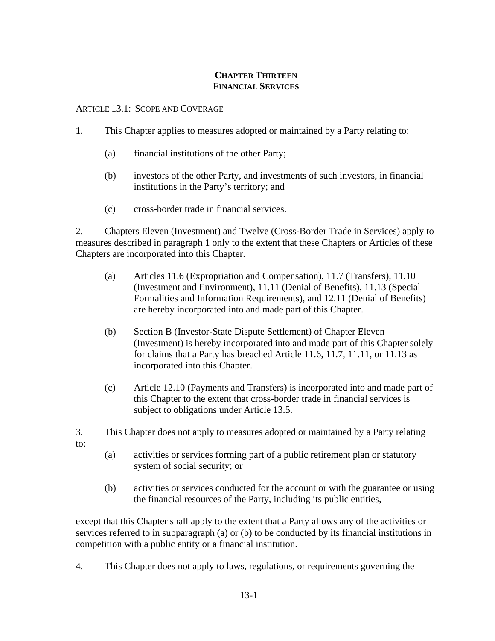## **CHAPTER THIRTEEN FINANCIAL SERVICES**

#### ARTICLE 13.1: SCOPE AND COVERAGE

- 1. This Chapter applies to measures adopted or maintained by a Party relating to:
	- (a) financial institutions of the other Party;
	- (b) investors of the other Party, and investments of such investors, in financial institutions in the Party's territory; and
	- (c) cross-border trade in financial services.

2. Chapters Eleven (Investment) and Twelve (Cross-Border Trade in Services) apply to measures described in paragraph 1 only to the extent that these Chapters or Articles of these Chapters are incorporated into this Chapter.

- (a) Articles 11.6 (Expropriation and Compensation), 11.7 (Transfers), 11.10 (Investment and Environment), 11.11 (Denial of Benefits), 11.13 (Special Formalities and Information Requirements), and 12.11 (Denial of Benefits) are hereby incorporated into and made part of this Chapter.
- (b) Section B (Investor-State Dispute Settlement) of Chapter Eleven (Investment) is hereby incorporated into and made part of this Chapter solely for claims that a Party has breached Article 11.6, 11.7, 11.11, or 11.13 as incorporated into this Chapter.
- (c) Article 12.10 (Payments and Transfers) is incorporated into and made part of this Chapter to the extent that cross-border trade in financial services is subject to obligations under Article 13.5.
- 3. This Chapter does not apply to measures adopted or maintained by a Party relating to:
	- (a) activities or services forming part of a public retirement plan or statutory system of social security; or
	- (b) activities or services conducted for the account or with the guarantee or using the financial resources of the Party, including its public entities,

except that this Chapter shall apply to the extent that a Party allows any of the activities or services referred to in subparagraph (a) or (b) to be conducted by its financial institutions in competition with a public entity or a financial institution.

4. This Chapter does not apply to laws, regulations, or requirements governing the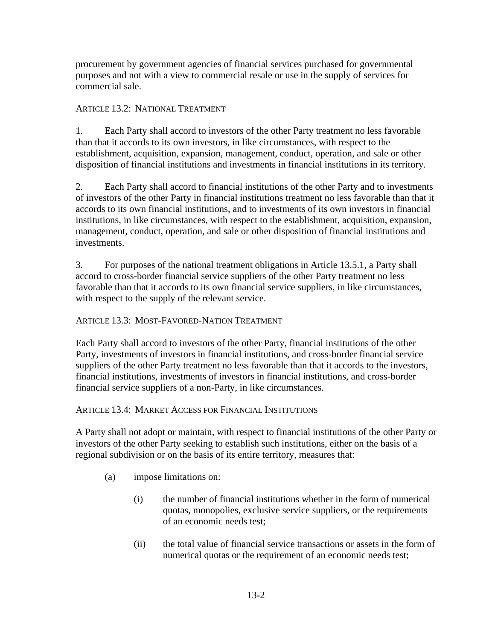procurement by government agencies of financial services purchased for governmental purposes and not with a view to commercial resale or use in the supply of services for commercial sale.

## ARTICLE 13.2: NATIONAL TREATMENT

1. Each Party shall accord to investors of the other Party treatment no less favorable than that it accords to its own investors, in like circumstances, with respect to the establishment, acquisition, expansion, management, conduct, operation, and sale or other disposition of financial institutions and investments in financial institutions in its territory.

2. Each Party shall accord to financial institutions of the other Party and to investments of investors of the other Party in financial institutions treatment no less favorable than that it accords to its own financial institutions, and to investments of its own investors in financial institutions, in like circumstances, with respect to the establishment, acquisition, expansion, management, conduct, operation, and sale or other disposition of financial institutions and investments.

3. For purposes of the national treatment obligations in Article 13.5.1, a Party shall accord to cross-border financial service suppliers of the other Party treatment no less favorable than that it accords to its own financial service suppliers, in like circumstances, with respect to the supply of the relevant service.

ARTICLE 13.3: MOST-FAVORED-NATION TREATMENT

Each Party shall accord to investors of the other Party, financial institutions of the other Party, investments of investors in financial institutions, and cross-border financial service suppliers of the other Party treatment no less favorable than that it accords to the investors, financial institutions, investments of investors in financial institutions, and cross-border financial service suppliers of a non-Party, in like circumstances.

### ARTICLE 13.4: MARKET ACCESS FOR FINANCIAL INSTITUTIONS

A Party shall not adopt or maintain, with respect to financial institutions of the other Party or investors of the other Party seeking to establish such institutions, either on the basis of a regional subdivision or on the basis of its entire territory, measures that:

- (a) impose limitations on:
	- (i) the number of financial institutions whether in the form of numerical quotas, monopolies, exclusive service suppliers, or the requirements of an economic needs test;
	- (ii) the total value of financial service transactions or assets in the form of numerical quotas or the requirement of an economic needs test;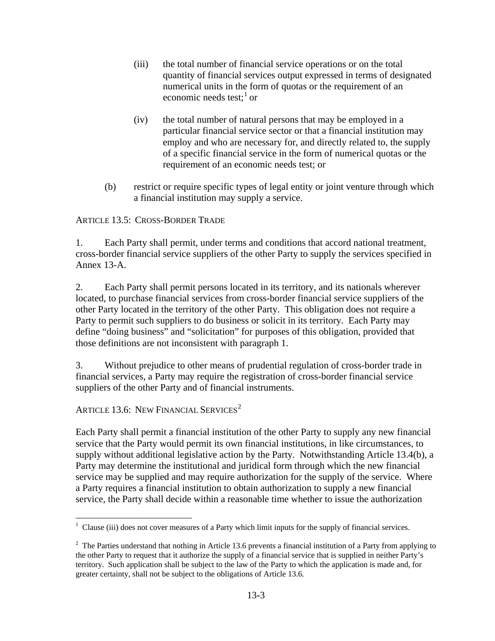- (iii) the total number of financial service operations or on the total quantity of financial services output expressed in terms of designated numerical units in the form of quotas or the requirement of an economic needs test; $<sup>1</sup>$  $<sup>1</sup>$  $<sup>1</sup>$  or</sup>
- (iv) the total number of natural persons that may be employed in a particular financial service sector or that a financial institution may employ and who are necessary for, and directly related to, the supply of a specific financial service in the form of numerical quotas or the requirement of an economic needs test; or
- (b) restrict or require specific types of legal entity or joint venture through which a financial institution may supply a service.

## ARTICLE 13.5: CROSS-BORDER TRADE

1. Each Party shall permit, under terms and conditions that accord national treatment, cross-border financial service suppliers of the other Party to supply the services specified in Annex 13-A.

2. Each Party shall permit persons located in its territory, and its nationals wherever located, to purchase financial services from cross-border financial service suppliers of the other Party located in the territory of the other Party. This obligation does not require a Party to permit such suppliers to do business or solicit in its territory. Each Party may define "doing business" and "solicitation" for purposes of this obligation, provided that those definitions are not inconsistent with paragraph 1.

3. Without prejudice to other means of prudential regulation of cross-border trade in financial services, a Party may require the registration of cross-border financial service suppliers of the other Party and of financial instruments.

# ARTICLE 13.6: NEW FINANCIAL SERVICES<sup>[2](#page-2-1)</sup>

Each Party shall permit a financial institution of the other Party to supply any new financial service that the Party would permit its own financial institutions, in like circumstances, to supply without additional legislative action by the Party. Notwithstanding Article 13.4(b), a Party may determine the institutional and juridical form through which the new financial service may be supplied and may require authorization for the supply of the service. Where a Party requires a financial institution to obtain authorization to supply a new financial service, the Party shall decide within a reasonable time whether to issue the authorization

<span id="page-2-0"></span> $\overline{a}$ 1 Clause (iii) does not cover measures of a Party which limit inputs for the supply of financial services.

<span id="page-2-1"></span><sup>&</sup>lt;sup>2</sup> The Parties understand that nothing in Article 13.6 prevents a financial institution of a Party from applying to the other Party to request that it authorize the supply of a financial service that is supplied in neither Party's territory. Such application shall be subject to the law of the Party to which the application is made and, for greater certainty, shall not be subject to the obligations of Article 13.6.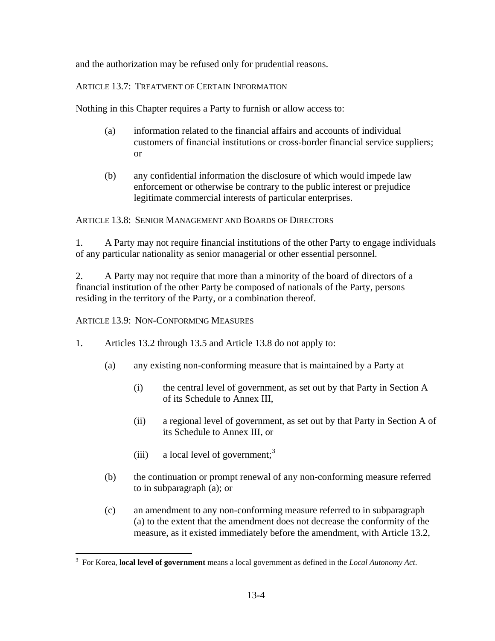and the authorization may be refused only for prudential reasons.

ARTICLE 13.7: TREATMENT OF CERTAIN INFORMATION

Nothing in this Chapter requires a Party to furnish or allow access to:

- (a) information related to the financial affairs and accounts of individual customers of financial institutions or cross-border financial service suppliers; or
- (b) any confidential information the disclosure of which would impede law enforcement or otherwise be contrary to the public interest or prejudice legitimate commercial interests of particular enterprises.

ARTICLE 13.8: SENIOR MANAGEMENT AND BOARDS OF DIRECTORS

1. A Party may not require financial institutions of the other Party to engage individuals of any particular nationality as senior managerial or other essential personnel.

2. A Party may not require that more than a minority of the board of directors of a financial institution of the other Party be composed of nationals of the Party, persons residing in the territory of the Party, or a combination thereof.

ARTICLE 13.9: NON-CONFORMING MEASURES

 $\overline{a}$ 

- 1. Articles 13.2 through 13.5 and Article 13.8 do not apply to:
	- (a) any existing non-conforming measure that is maintained by a Party at
		- (i) the central level of government, as set out by that Party in Section A of its Schedule to Annex III,
		- (ii) a regional level of government, as set out by that Party in Section A of its Schedule to Annex III, or
		- (iii) a local level of government;<sup>[3](#page-3-0)</sup>
	- (b) the continuation or prompt renewal of any non-conforming measure referred to in subparagraph (a); or
	- (c) an amendment to any non-conforming measure referred to in subparagraph (a) to the extent that the amendment does not decrease the conformity of the measure, as it existed immediately before the amendment, with Article 13.2,

<span id="page-3-0"></span><sup>3</sup> For Korea, **local level of government** means a local government as defined in the *Local Autonomy Act*.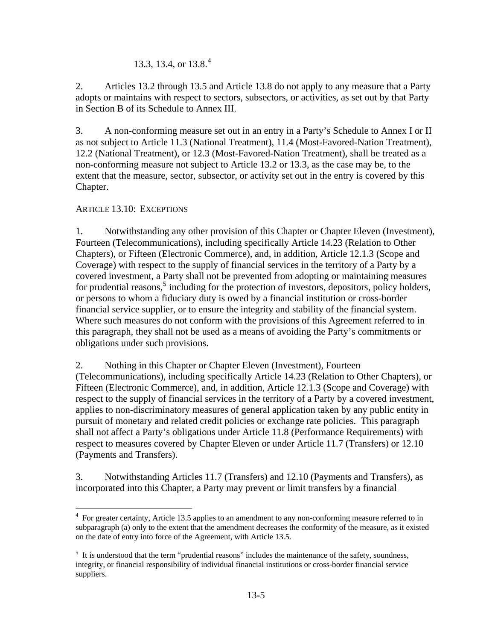# 13.3, 13.[4](#page-4-0), or 13.8.<sup>4</sup>

2. Articles 13.2 through 13.5 and Article 13.8 do not apply to any measure that a Party adopts or maintains with respect to sectors, subsectors, or activities, as set out by that Party in Section B of its Schedule to Annex III.

3. A non-conforming measure set out in an entry in a Party's Schedule to Annex I or II as not subject to Article 11.3 (National Treatment), 11.4 (Most-Favored-Nation Treatment), 12.2 (National Treatment), or 12.3 (Most-Favored-Nation Treatment), shall be treated as a non-conforming measure not subject to Article 13.2 or 13.3, as the case may be, to the extent that the measure, sector, subsector, or activity set out in the entry is covered by this Chapter.

### ARTICLE 13.10: EXCEPTIONS

 $\overline{a}$ 

1. Notwithstanding any other provision of this Chapter or Chapter Eleven (Investment), Fourteen (Telecommunications), including specifically Article 14.23 (Relation to Other Chapters), or Fifteen (Electronic Commerce), and, in addition, Article 12.1.3 (Scope and Coverage) with respect to the supply of financial services in the territory of a Party by a covered investment, a Party shall not be prevented from adopting or maintaining measures for prudential reasons,<sup>[5](#page-4-1)</sup> including for the protection of investors, depositors, policy holders, or persons to whom a fiduciary duty is owed by a financial institution or cross-border financial service supplier, or to ensure the integrity and stability of the financial system. Where such measures do not conform with the provisions of this Agreement referred to in this paragraph, they shall not be used as a means of avoiding the Party's commitments or obligations under such provisions.

2. Nothing in this Chapter or Chapter Eleven (Investment), Fourteen (Telecommunications), including specifically Article 14.23 (Relation to Other Chapters), or Fifteen (Electronic Commerce), and, in addition, Article 12.1.3 (Scope and Coverage) with respect to the supply of financial services in the territory of a Party by a covered investment, applies to non-discriminatory measures of general application taken by any public entity in pursuit of monetary and related credit policies or exchange rate policies. This paragraph shall not affect a Party's obligations under Article 11.8 (Performance Requirements) with respect to measures covered by Chapter Eleven or under Article 11.7 (Transfers) or 12.10 (Payments and Transfers).

3. Notwithstanding Articles 11.7 (Transfers) and 12.10 (Payments and Transfers), as incorporated into this Chapter, a Party may prevent or limit transfers by a financial

<span id="page-4-0"></span><sup>&</sup>lt;sup>4</sup> For greater certainty, Article 13.5 applies to an amendment to any non-conforming measure referred to in subparagraph (a) only to the extent that the amendment decreases the conformity of the measure, as it existed on the date of entry into force of the Agreement, with Article 13.5.

<span id="page-4-1"></span> $<sup>5</sup>$  It is understood that the term "prudential reasons" includes the maintenance of the safety, soundness,</sup> integrity, or financial responsibility of individual financial institutions or cross-border financial service suppliers.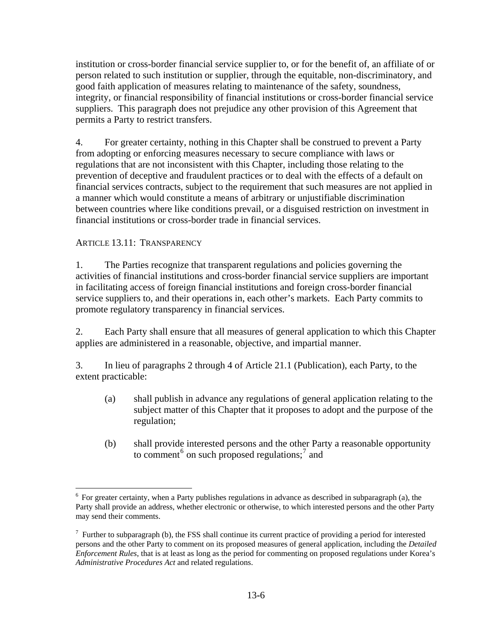institution or cross-border financial service supplier to, or for the benefit of, an affiliate of or person related to such institution or supplier, through the equitable, non-discriminatory, and good faith application of measures relating to maintenance of the safety, soundness, integrity, or financial responsibility of financial institutions or cross-border financial service suppliers. This paragraph does not prejudice any other provision of this Agreement that permits a Party to restrict transfers.

4. For greater certainty, nothing in this Chapter shall be construed to prevent a Party from adopting or enforcing measures necessary to secure compliance with laws or regulations that are not inconsistent with this Chapter, including those relating to the prevention of deceptive and fraudulent practices or to deal with the effects of a default on financial services contracts, subject to the requirement that such measures are not applied in a manner which would constitute a means of arbitrary or unjustifiable discrimination between countries where like conditions prevail, or a disguised restriction on investment in financial institutions or cross-border trade in financial services.

### ARTICLE 13.11: TRANSPARENCY

1. The Parties recognize that transparent regulations and policies governing the activities of financial institutions and cross-border financial service suppliers are important in facilitating access of foreign financial institutions and foreign cross-border financial service suppliers to, and their operations in, each other's markets. Each Party commits to promote regulatory transparency in financial services.

2. Each Party shall ensure that all measures of general application to which this Chapter applies are administered in a reasonable, objective, and impartial manner.

3. In lieu of paragraphs 2 through 4 of Article 21.1 (Publication), each Party, to the extent practicable:

- (a) shall publish in advance any regulations of general application relating to the subject matter of this Chapter that it proposes to adopt and the purpose of the regulation;
- (b) shall provide interested persons and the other Party a reasonable opportunity to comment<sup>[6](#page-5-0)</sup> on such proposed regulations;<sup>[7](#page-5-1)</sup> and

<span id="page-5-0"></span> $\overline{a}$  $6$  For greater certainty, when a Party publishes regulations in advance as described in subparagraph (a), the Party shall provide an address, whether electronic or otherwise, to which interested persons and the other Party may send their comments.

<span id="page-5-1"></span> $7$  Further to subparagraph (b), the FSS shall continue its current practice of providing a period for interested persons and the other Party to comment on its proposed measures of general application, including the *Detailed Enforcement Rules*, that is at least as long as the period for commenting on proposed regulations under Korea's *Administrative Procedures Act* and related regulations.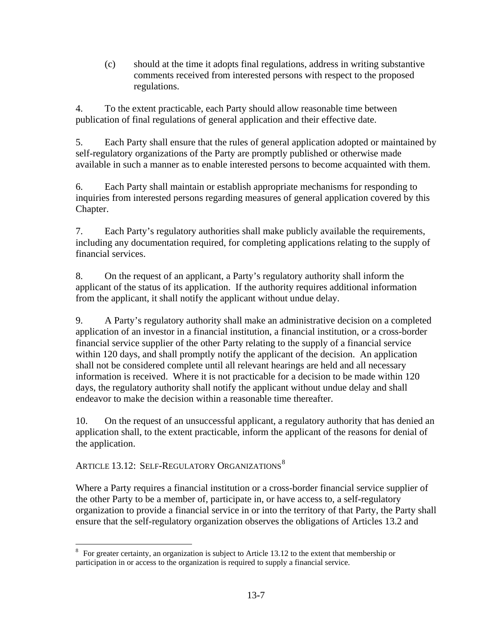(c) should at the time it adopts final regulations, address in writing substantive comments received from interested persons with respect to the proposed regulations.

4. To the extent practicable, each Party should allow reasonable time between publication of final regulations of general application and their effective date.

5. Each Party shall ensure that the rules of general application adopted or maintained by self-regulatory organizations of the Party are promptly published or otherwise made available in such a manner as to enable interested persons to become acquainted with them.

6. Each Party shall maintain or establish appropriate mechanisms for responding to inquiries from interested persons regarding measures of general application covered by this Chapter.

7. Each Party's regulatory authorities shall make publicly available the requirements, including any documentation required, for completing applications relating to the supply of financial services.

8. On the request of an applicant, a Party's regulatory authority shall inform the applicant of the status of its application. If the authority requires additional information from the applicant, it shall notify the applicant without undue delay.

9. A Party's regulatory authority shall make an administrative decision on a completed application of an investor in a financial institution, a financial institution, or a cross-border financial service supplier of the other Party relating to the supply of a financial service within 120 days, and shall promptly notify the applicant of the decision. An application shall not be considered complete until all relevant hearings are held and all necessary information is received. Where it is not practicable for a decision to be made within 120 days, the regulatory authority shall notify the applicant without undue delay and shall endeavor to make the decision within a reasonable time thereafter.

10. On the request of an unsuccessful applicant, a regulatory authority that has denied an application shall, to the extent practicable, inform the applicant of the reasons for denial of the application.

ARTICLE 13.12: SELF-REGULATORY ORGANIZATIONS<sup>[8](#page-6-0)</sup>

Where a Party requires a financial institution or a cross-border financial service supplier of the other Party to be a member of, participate in, or have access to, a self-regulatory organization to provide a financial service in or into the territory of that Party, the Party shall ensure that the self-regulatory organization observes the obligations of Articles 13.2 and

<span id="page-6-0"></span> $\overline{a}$ 8 For greater certainty, an organization is subject to Article 13.12 to the extent that membership or participation in or access to the organization is required to supply a financial service.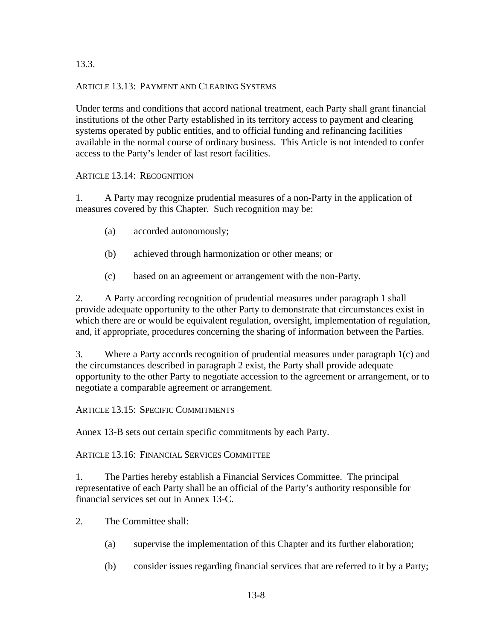13.3.

## ARTICLE 13.13: PAYMENT AND CLEARING SYSTEMS

Under terms and conditions that accord national treatment, each Party shall grant financial institutions of the other Party established in its territory access to payment and clearing systems operated by public entities, and to official funding and refinancing facilities available in the normal course of ordinary business. This Article is not intended to confer access to the Party's lender of last resort facilities.

## ARTICLE 13.14: RECOGNITION

1. A Party may recognize prudential measures of a non-Party in the application of measures covered by this Chapter. Such recognition may be:

- (a) accorded autonomously;
- (b) achieved through harmonization or other means; or
- (c) based on an agreement or arrangement with the non-Party.

2. A Party according recognition of prudential measures under paragraph 1 shall provide adequate opportunity to the other Party to demonstrate that circumstances exist in which there are or would be equivalent regulation, oversight, implementation of regulation, and, if appropriate, procedures concerning the sharing of information between the Parties.

3. Where a Party accords recognition of prudential measures under paragraph 1(c) and the circumstances described in paragraph 2 exist, the Party shall provide adequate opportunity to the other Party to negotiate accession to the agreement or arrangement, or to negotiate a comparable agreement or arrangement.

ARTICLE 13.15: SPECIFIC COMMITMENTS

Annex 13-B sets out certain specific commitments by each Party.

ARTICLE 13.16: FINANCIAL SERVICES COMMITTEE

1. The Parties hereby establish a Financial Services Committee. The principal representative of each Party shall be an official of the Party's authority responsible for financial services set out in Annex 13-C.

2. The Committee shall:

- (a) supervise the implementation of this Chapter and its further elaboration;
- (b) consider issues regarding financial services that are referred to it by a Party;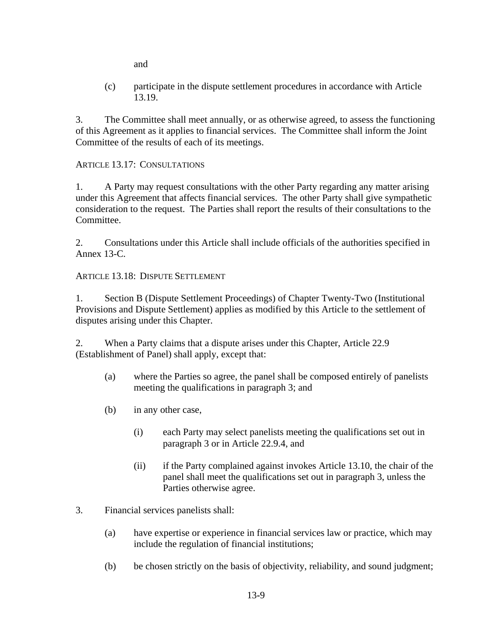and

(c) participate in the dispute settlement procedures in accordance with Article 13.19.

3. The Committee shall meet annually, or as otherwise agreed, to assess the functioning of this Agreement as it applies to financial services. The Committee shall inform the Joint Committee of the results of each of its meetings.

ARTICLE 13.17: CONSULTATIONS

1. A Party may request consultations with the other Party regarding any matter arising under this Agreement that affects financial services. The other Party shall give sympathetic consideration to the request. The Parties shall report the results of their consultations to the Committee.

2. Consultations under this Article shall include officials of the authorities specified in Annex 13-C.

ARTICLE 13.18: DISPUTE SETTLEMENT

1. Section B (Dispute Settlement Proceedings) of Chapter Twenty-Two (Institutional Provisions and Dispute Settlement) applies as modified by this Article to the settlement of disputes arising under this Chapter.

2. When a Party claims that a dispute arises under this Chapter, Article 22.9 (Establishment of Panel) shall apply, except that:

- (a) where the Parties so agree, the panel shall be composed entirely of panelists meeting the qualifications in paragraph 3; and
- (b) in any other case,
	- (i) each Party may select panelists meeting the qualifications set out in paragraph 3 or in Article 22.9.4, and
	- (ii) if the Party complained against invokes Article 13.10, the chair of the panel shall meet the qualifications set out in paragraph 3, unless the Parties otherwise agree.
- 3. Financial services panelists shall:
	- (a) have expertise or experience in financial services law or practice, which may include the regulation of financial institutions;
	- (b) be chosen strictly on the basis of objectivity, reliability, and sound judgment;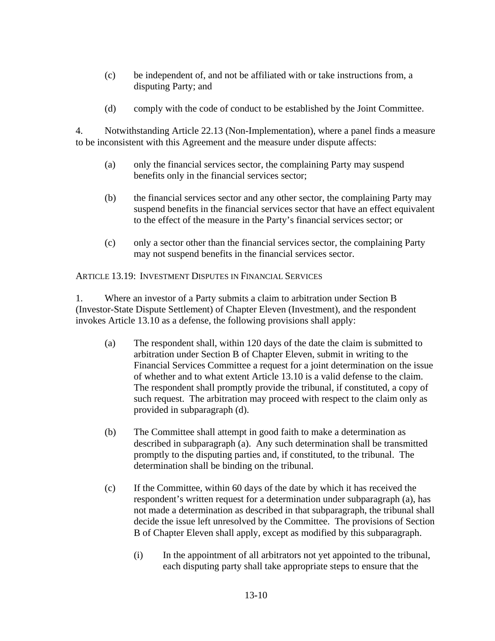- (c) be independent of, and not be affiliated with or take instructions from, a disputing Party; and
- (d) comply with the code of conduct to be established by the Joint Committee.

4. Notwithstanding Article 22.13 (Non-Implementation), where a panel finds a measure to be inconsistent with this Agreement and the measure under dispute affects:

- (a) only the financial services sector, the complaining Party may suspend benefits only in the financial services sector;
- (b) the financial services sector and any other sector, the complaining Party may suspend benefits in the financial services sector that have an effect equivalent to the effect of the measure in the Party's financial services sector; or
- (c) only a sector other than the financial services sector, the complaining Party may not suspend benefits in the financial services sector.

### ARTICLE 13.19: INVESTMENT DISPUTES IN FINANCIAL SERVICES

1. Where an investor of a Party submits a claim to arbitration under Section B (Investor-State Dispute Settlement) of Chapter Eleven (Investment), and the respondent invokes Article 13.10 as a defense, the following provisions shall apply:

- (a) The respondent shall, within 120 days of the date the claim is submitted to arbitration under Section B of Chapter Eleven, submit in writing to the Financial Services Committee a request for a joint determination on the issue of whether and to what extent Article 13.10 is a valid defense to the claim. The respondent shall promptly provide the tribunal, if constituted, a copy of such request. The arbitration may proceed with respect to the claim only as provided in subparagraph (d).
- (b) The Committee shall attempt in good faith to make a determination as described in subparagraph (a). Any such determination shall be transmitted promptly to the disputing parties and, if constituted, to the tribunal. The determination shall be binding on the tribunal.
- (c) If the Committee, within 60 days of the date by which it has received the respondent's written request for a determination under subparagraph (a), has not made a determination as described in that subparagraph, the tribunal shall decide the issue left unresolved by the Committee. The provisions of Section B of Chapter Eleven shall apply, except as modified by this subparagraph.
	- (i) In the appointment of all arbitrators not yet appointed to the tribunal, each disputing party shall take appropriate steps to ensure that the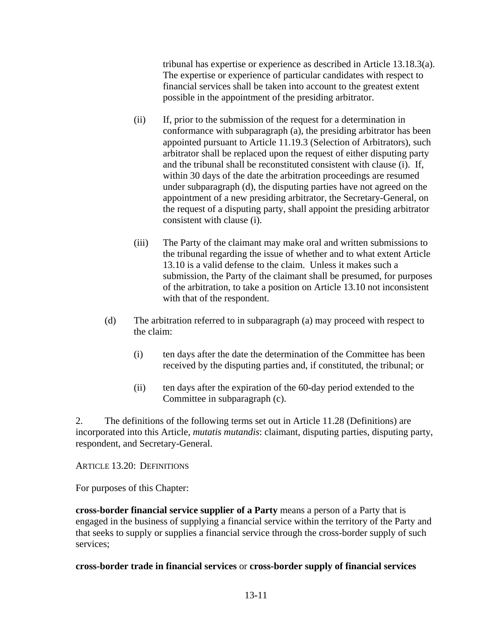tribunal has expertise or experience as described in Article 13.18.3(a). The expertise or experience of particular candidates with respect to financial services shall be taken into account to the greatest extent possible in the appointment of the presiding arbitrator.

- (ii) If, prior to the submission of the request for a determination in conformance with subparagraph (a), the presiding arbitrator has been appointed pursuant to Article 11.19.3 (Selection of Arbitrators), such arbitrator shall be replaced upon the request of either disputing party and the tribunal shall be reconstituted consistent with clause (i). If, within 30 days of the date the arbitration proceedings are resumed under subparagraph (d), the disputing parties have not agreed on the appointment of a new presiding arbitrator, the Secretary-General, on the request of a disputing party, shall appoint the presiding arbitrator consistent with clause (i).
- (iii) The Party of the claimant may make oral and written submissions to the tribunal regarding the issue of whether and to what extent Article 13.10 is a valid defense to the claim. Unless it makes such a submission, the Party of the claimant shall be presumed, for purposes of the arbitration, to take a position on Article 13.10 not inconsistent with that of the respondent.
- (d) The arbitration referred to in subparagraph (a) may proceed with respect to the claim:
	- (i) ten days after the date the determination of the Committee has been received by the disputing parties and, if constituted, the tribunal; or
	- (ii) ten days after the expiration of the 60-day period extended to the Committee in subparagraph (c).

2. The definitions of the following terms set out in Article 11.28 (Definitions) are incorporated into this Article, *mutatis mutandis*: claimant, disputing parties, disputing party, respondent, and Secretary-General.

ARTICLE 13.20: DEFINITIONS

For purposes of this Chapter:

**cross-border financial service supplier of a Party** means a person of a Party that is engaged in the business of supplying a financial service within the territory of the Party and that seeks to supply or supplies a financial service through the cross-border supply of such services;

#### **cross-border trade in financial services** or **cross-border supply of financial services**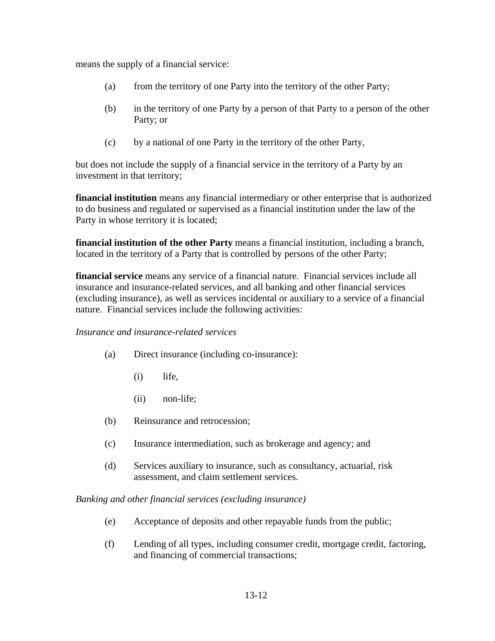means the supply of a financial service:

- (a) from the territory of one Party into the territory of the other Party;
- (b) in the territory of one Party by a person of that Party to a person of the other Party; or
- (c) by a national of one Party in the territory of the other Party,

but does not include the supply of a financial service in the territory of a Party by an investment in that territory;

**financial institution** means any financial intermediary or other enterprise that is authorized to do business and regulated or supervised as a financial institution under the law of the Party in whose territory it is located;

**financial institution of the other Party** means a financial institution, including a branch, located in the territory of a Party that is controlled by persons of the other Party;

**financial service** means any service of a financial nature. Financial services include all insurance and insurance-related services, and all banking and other financial services (excluding insurance), as well as services incidental or auxiliary to a service of a financial nature. Financial services include the following activities:

### *Insurance and insurance-related services*

- (a) Direct insurance (including co-insurance):
	- (i) life,
	- (ii) non-life;
- (b) Reinsurance and retrocession;
- (c) Insurance intermediation, such as brokerage and agency; and
- (d) Services auxiliary to insurance, such as consultancy, actuarial, risk assessment, and claim settlement services.

*Banking and other financial services (excluding insurance)* 

- (e) Acceptance of deposits and other repayable funds from the public;
- (f) Lending of all types, including consumer credit, mortgage credit, factoring, and financing of commercial transactions;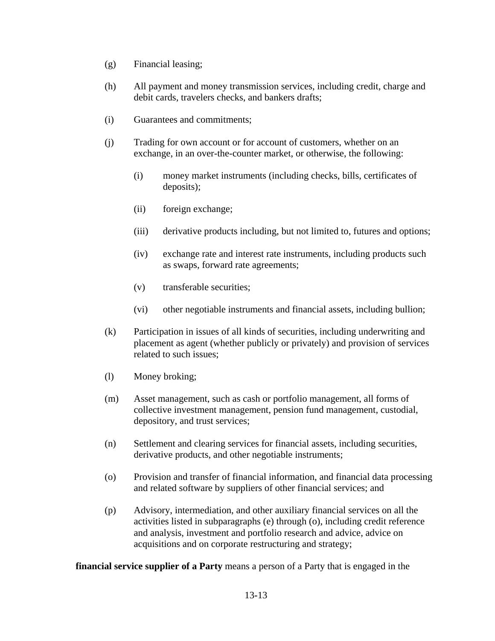- (g) Financial leasing;
- (h) All payment and money transmission services, including credit, charge and debit cards, travelers checks, and bankers drafts;
- (i) Guarantees and commitments;
- (j) Trading for own account or for account of customers, whether on an exchange, in an over-the-counter market, or otherwise, the following:
	- (i) money market instruments (including checks, bills, certificates of deposits);
	- (ii) foreign exchange;
	- (iii) derivative products including, but not limited to, futures and options;
	- (iv) exchange rate and interest rate instruments, including products such as swaps, forward rate agreements;
	- (v) transferable securities;
	- (vi) other negotiable instruments and financial assets, including bullion;
- (k) Participation in issues of all kinds of securities, including underwriting and placement as agent (whether publicly or privately) and provision of services related to such issues;
- (l) Money broking;
- (m) Asset management, such as cash or portfolio management, all forms of collective investment management, pension fund management, custodial, depository, and trust services;
- (n) Settlement and clearing services for financial assets, including securities, derivative products, and other negotiable instruments;
- (o) Provision and transfer of financial information, and financial data processing and related software by suppliers of other financial services; and
- (p) Advisory, intermediation, and other auxiliary financial services on all the activities listed in subparagraphs (e) through (o), including credit reference and analysis, investment and portfolio research and advice, advice on acquisitions and on corporate restructuring and strategy;

**financial service supplier of a Party** means a person of a Party that is engaged in the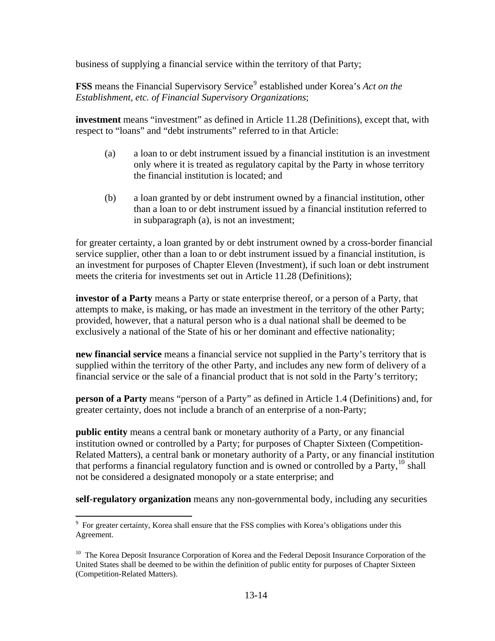business of supplying a financial service within the territory of that Party;

**FSS** means the Financial Supervisory Service<sup>[9](#page-13-0)</sup> established under Korea's *Act on the Establishment, etc. of Financial Supervisory Organizations*;

**investment** means "investment" as defined in Article 11.28 (Definitions), except that, with respect to "loans" and "debt instruments" referred to in that Article:

- (a) a loan to or debt instrument issued by a financial institution is an investment only where it is treated as regulatory capital by the Party in whose territory the financial institution is located; and
- (b) a loan granted by or debt instrument owned by a financial institution, other than a loan to or debt instrument issued by a financial institution referred to in subparagraph (a), is not an investment;

for greater certainty, a loan granted by or debt instrument owned by a cross-border financial service supplier, other than a loan to or debt instrument issued by a financial institution, is an investment for purposes of Chapter Eleven (Investment), if such loan or debt instrument meets the criteria for investments set out in Article 11.28 (Definitions);

**investor of a Party** means a Party or state enterprise thereof, or a person of a Party, that attempts to make, is making, or has made an investment in the territory of the other Party; provided, however, that a natural person who is a dual national shall be deemed to be exclusively a national of the State of his or her dominant and effective nationality;

**new financial service** means a financial service not supplied in the Party's territory that is supplied within the territory of the other Party, and includes any new form of delivery of a financial service or the sale of a financial product that is not sold in the Party's territory;

**person of a Party** means "person of a Party" as defined in Article 1.4 (Definitions) and, for greater certainty, does not include a branch of an enterprise of a non-Party;

**public entity** means a central bank or monetary authority of a Party, or any financial institution owned or controlled by a Party; for purposes of Chapter Sixteen (Competition-Related Matters), a central bank or monetary authority of a Party, or any financial institution that performs a financial regulatory function and is owned or controlled by a Party,<sup>[10](#page-13-1)</sup> shall not be considered a designated monopoly or a state enterprise; and

**self-regulatory organization** means any non-governmental body, including any securities

 $\overline{a}$ 

<span id="page-13-0"></span><sup>&</sup>lt;sup>9</sup> For greater certainty, Korea shall ensure that the FSS complies with Korea's obligations under this Agreement.

<span id="page-13-1"></span><sup>&</sup>lt;sup>10</sup> The Korea Deposit Insurance Corporation of Korea and the Federal Deposit Insurance Corporation of the United States shall be deemed to be within the definition of public entity for purposes of Chapter Sixteen (Competition-Related Matters).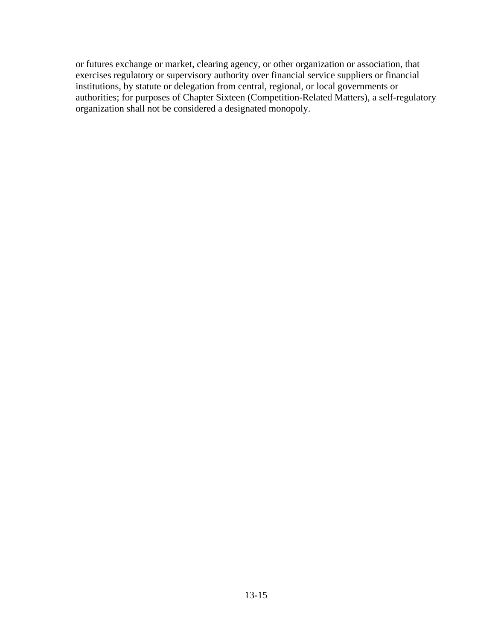or futures exchange or market, clearing agency, or other organization or association, that exercises regulatory or supervisory authority over financial service suppliers or financial institutions, by statute or delegation from central, regional, or local governments or authorities; for purposes of Chapter Sixteen (Competition-Related Matters), a self-regulatory organization shall not be considered a designated monopoly.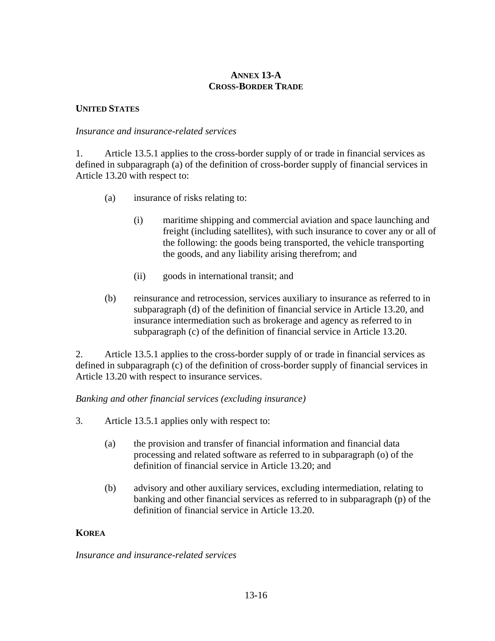## **ANNEX 13-A CROSS-BORDER TRADE**

#### **UNITED STATES**

#### *Insurance and insurance-related services*

1. Article 13.5.1 applies to the cross-border supply of or trade in financial services as defined in subparagraph (a) of the definition of cross-border supply of financial services in Article 13.20 with respect to:

- (a) insurance of risks relating to:
	- (i) maritime shipping and commercial aviation and space launching and freight (including satellites), with such insurance to cover any or all of the following: the goods being transported, the vehicle transporting the goods, and any liability arising therefrom; and
	- (ii) goods in international transit; and
- (b) reinsurance and retrocession, services auxiliary to insurance as referred to in subparagraph (d) of the definition of financial service in Article 13.20, and insurance intermediation such as brokerage and agency as referred to in subparagraph (c) of the definition of financial service in Article 13.20.

2. Article 13.5.1 applies to the cross-border supply of or trade in financial services as defined in subparagraph (c) of the definition of cross-border supply of financial services in Article 13.20 with respect to insurance services.

### *Banking and other financial services (excluding insurance)*

- 3. Article 13.5.1 applies only with respect to:
	- (a) the provision and transfer of financial information and financial data processing and related software as referred to in subparagraph (o) of the definition of financial service in Article 13.20; and
	- (b) advisory and other auxiliary services, excluding intermediation, relating to banking and other financial services as referred to in subparagraph (p) of the definition of financial service in Article 13.20.

### **KOREA**

*Insurance and insurance-related services*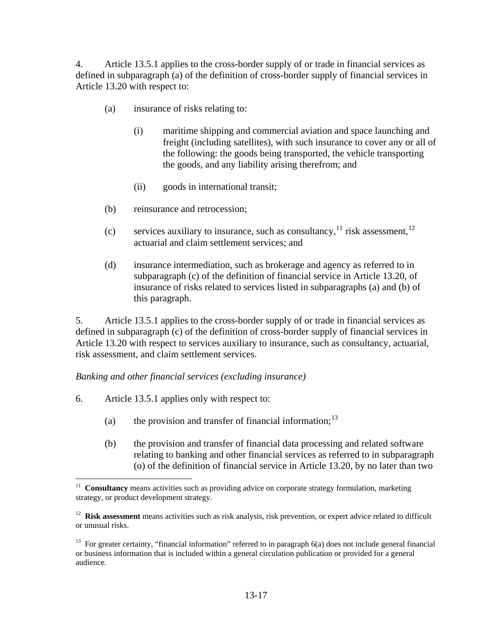4. Article 13.5.1 applies to the cross-border supply of or trade in financial services as defined in subparagraph (a) of the definition of cross-border supply of financial services in Article 13.20 with respect to:

- (a) insurance of risks relating to:
	- (i) maritime shipping and commercial aviation and space launching and freight (including satellites), with such insurance to cover any or all of the following: the goods being transported, the vehicle transporting the goods, and any liability arising therefrom; and
	- (ii) goods in international transit;
- (b) reinsurance and retrocession;
- (c) services auxiliary to insurance, such as consultancy,  $11$  risk assessment,  $12$ actuarial and claim settlement services; and
- (d) insurance intermediation, such as brokerage and agency as referred to in subparagraph (c) of the definition of financial service in Article 13.20, of insurance of risks related to services listed in subparagraphs (a) and (b) of this paragraph.

5. Article 13.5.1 applies to the cross-border supply of or trade in financial services as defined in subparagraph (c) of the definition of cross-border supply of financial services in Article 13.20 with respect to services auxiliary to insurance, such as consultancy, actuarial, risk assessment, and claim settlement services.

*Banking and other financial services (excluding insurance)* 

- 6. Article 13.5.1 applies only with respect to:
	- (a) the provision and transfer of financial information;  $^{13}$  $^{13}$  $^{13}$
	- (b) the provision and transfer of financial data processing and related software relating to banking and other financial services as referred to in subparagraph (o) of the definition of financial service in Article 13.20, by no later than two

<span id="page-16-0"></span> $11\,$ 11 **Consultancy** means activities such as providing advice on corporate strategy formulation, marketing strategy, or product development strategy.

<span id="page-16-1"></span><sup>&</sup>lt;sup>12</sup> Risk assessment means activities such as risk analysis, risk prevention, or expert advice related to difficult or unusual risks.

<span id="page-16-2"></span><sup>&</sup>lt;sup>13</sup> For greater certainty, "financial information" referred to in paragraph  $6(a)$  does not include general financial or business information that is included within a general circulation publication or provided for a general audience.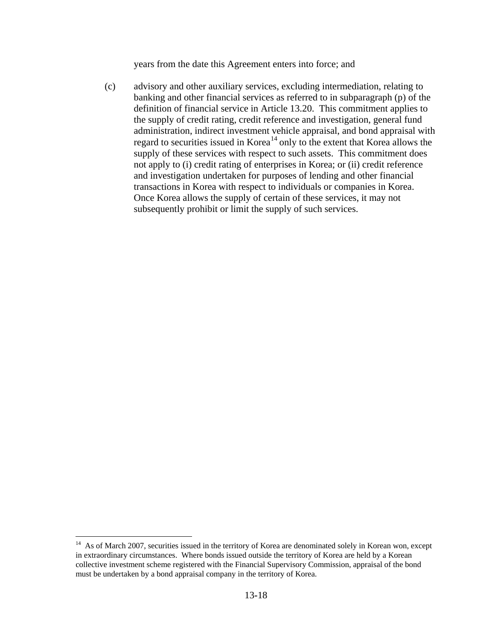years from the date this Agreement enters into force; and

(c) advisory and other auxiliary services, excluding intermediation, relating to banking and other financial services as referred to in subparagraph (p) of the definition of financial service in Article 13.20. This commitment applies to the supply of credit rating, credit reference and investigation, general fund administration, indirect investment vehicle appraisal, and bond appraisal with regard to securities issued in Korea<sup>[14](#page-17-0)</sup> only to the extent that Korea allows the supply of these services with respect to such assets. This commitment does not apply to (i) credit rating of enterprises in Korea; or (ii) credit reference and investigation undertaken for purposes of lending and other financial transactions in Korea with respect to individuals or companies in Korea. Once Korea allows the supply of certain of these services, it may not subsequently prohibit or limit the supply of such services.

 $\overline{a}$ 

<span id="page-17-0"></span><sup>&</sup>lt;sup>14</sup> As of March 2007, securities issued in the territory of Korea are denominated solely in Korean won, except in extraordinary circumstances. Where bonds issued outside the territory of Korea are held by a Korean collective investment scheme registered with the Financial Supervisory Commission, appraisal of the bond must be undertaken by a bond appraisal company in the territory of Korea.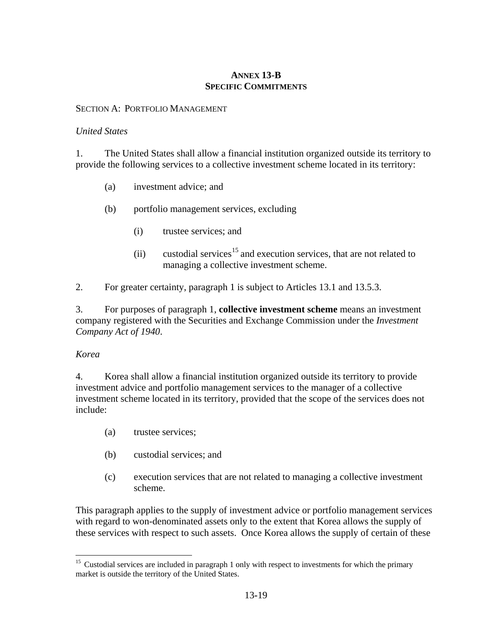### **ANNEX 13-B SPECIFIC COMMITMENTS**

#### SECTION A: PORTFOLIO MANAGEMENT

#### *United States*

1. The United States shall allow a financial institution organized outside its territory to provide the following services to a collective investment scheme located in its territory:

- (a) investment advice; and
- (b) portfolio management services, excluding
	- (i) trustee services; and
	- (ii) custodial services<sup>[15](#page-18-0)</sup> and execution services, that are not related to managing a collective investment scheme.
- 2. For greater certainty, paragraph 1 is subject to Articles 13.1 and 13.5.3.

3. For purposes of paragraph 1, **collective investment scheme** means an investment company registered with the Securities and Exchange Commission under the *Investment Company Act of 1940*.

#### *Korea*

 $\overline{a}$ 

4. Korea shall allow a financial institution organized outside its territory to provide investment advice and portfolio management services to the manager of a collective investment scheme located in its territory, provided that the scope of the services does not include:

- (a) trustee services;
- (b) custodial services; and
- (c) execution services that are not related to managing a collective investment scheme.

This paragraph applies to the supply of investment advice or portfolio management services with regard to won-denominated assets only to the extent that Korea allows the supply of these services with respect to such assets. Once Korea allows the supply of certain of these

<span id="page-18-0"></span> $15$  Custodial services are included in paragraph 1 only with respect to investments for which the primary market is outside the territory of the United States.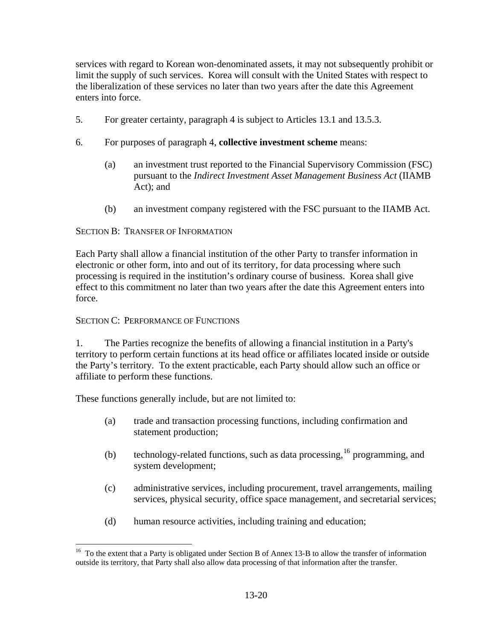services with regard to Korean won-denominated assets, it may not subsequently prohibit or limit the supply of such services. Korea will consult with the United States with respect to the liberalization of these services no later than two years after the date this Agreement enters into force.

- 5. For greater certainty, paragraph 4 is subject to Articles 13.1 and 13.5.3.
- 6. For purposes of paragraph 4, **collective investment scheme** means:
	- (a) an investment trust reported to the Financial Supervisory Commission (FSC) pursuant to the *Indirect Investment Asset Management Business Act* (IIAMB Act); and
	- (b) an investment company registered with the FSC pursuant to the IIAMB Act.

### SECTION B: TRANSFER OF INFORMATION

Each Party shall allow a financial institution of the other Party to transfer information in electronic or other form, into and out of its territory, for data processing where such processing is required in the institution's ordinary course of business. Korea shall give effect to this commitment no later than two years after the date this Agreement enters into force.

### SECTION C: PERFORMANCE OF FUNCTIONS

1. The Parties recognize the benefits of allowing a financial institution in a Party's territory to perform certain functions at its head office or affiliates located inside or outside the Party's territory. To the extent practicable, each Party should allow such an office or affiliate to perform these functions.

These functions generally include, but are not limited to:

- (a) trade and transaction processing functions, including confirmation and statement production;
- (b) technology-related functions, such as data processing,  $^{16}$  $^{16}$  $^{16}$  programming, and system development;
- (c) administrative services, including procurement, travel arrangements, mailing services, physical security, office space management, and secretarial services;
- (d) human resource activities, including training and education;

<span id="page-19-0"></span> $\overline{a}$ <sup>16</sup> To the extent that a Party is obligated under Section B of Annex 13-B to allow the transfer of information outside its territory, that Party shall also allow data processing of that information after the transfer.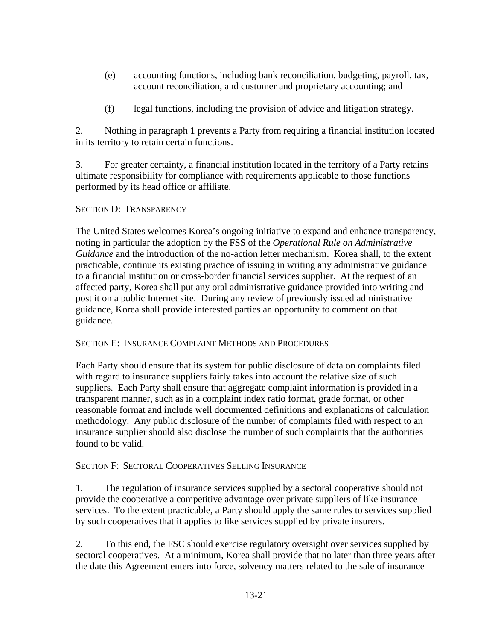- (e) accounting functions, including bank reconciliation, budgeting, payroll, tax, account reconciliation, and customer and proprietary accounting; and
- (f) legal functions, including the provision of advice and litigation strategy.

2. Nothing in paragraph 1 prevents a Party from requiring a financial institution located in its territory to retain certain functions.

3. For greater certainty, a financial institution located in the territory of a Party retains ultimate responsibility for compliance with requirements applicable to those functions performed by its head office or affiliate.

### SECTION D: TRANSPARENCY

The United States welcomes Korea's ongoing initiative to expand and enhance transparency, noting in particular the adoption by the FSS of the *Operational Rule on Administrative Guidance* and the introduction of the no-action letter mechanism. Korea shall, to the extent practicable, continue its existing practice of issuing in writing any administrative guidance to a financial institution or cross-border financial services supplier. At the request of an affected party, Korea shall put any oral administrative guidance provided into writing and post it on a public Internet site. During any review of previously issued administrative guidance, Korea shall provide interested parties an opportunity to comment on that guidance.

### SECTION E: INSURANCE COMPLAINT METHODS AND PROCEDURES

Each Party should ensure that its system for public disclosure of data on complaints filed with regard to insurance suppliers fairly takes into account the relative size of such suppliers. Each Party shall ensure that aggregate complaint information is provided in a transparent manner, such as in a complaint index ratio format, grade format, or other reasonable format and include well documented definitions and explanations of calculation methodology. Any public disclosure of the number of complaints filed with respect to an insurance supplier should also disclose the number of such complaints that the authorities found to be valid.

### SECTION F: SECTORAL COOPERATIVES SELLING INSURANCE

1. The regulation of insurance services supplied by a sectoral cooperative should not provide the cooperative a competitive advantage over private suppliers of like insurance services. To the extent practicable, a Party should apply the same rules to services supplied by such cooperatives that it applies to like services supplied by private insurers.

2. To this end, the FSC should exercise regulatory oversight over services supplied by sectoral cooperatives. At a minimum, Korea shall provide that no later than three years after the date this Agreement enters into force, solvency matters related to the sale of insurance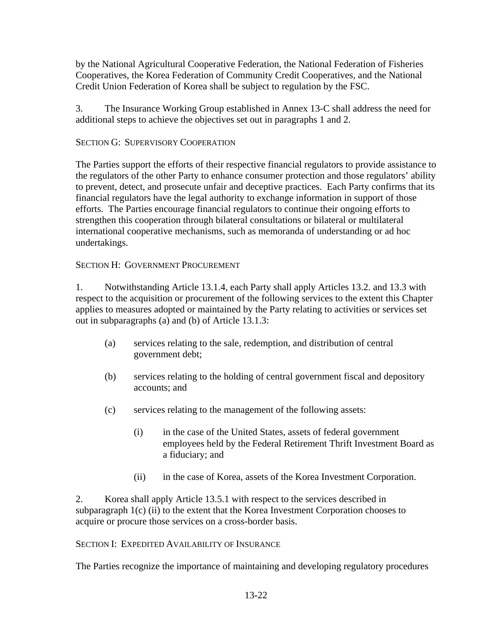by the National Agricultural Cooperative Federation, the National Federation of Fisheries Cooperatives, the Korea Federation of Community Credit Cooperatives, and the National Credit Union Federation of Korea shall be subject to regulation by the FSC.

3. The Insurance Working Group established in Annex 13-C shall address the need for additional steps to achieve the objectives set out in paragraphs 1 and 2.

## SECTION G: SUPERVISORY COOPERATION

The Parties support the efforts of their respective financial regulators to provide assistance to the regulators of the other Party to enhance consumer protection and those regulators' ability to prevent, detect, and prosecute unfair and deceptive practices. Each Party confirms that its financial regulators have the legal authority to exchange information in support of those efforts. The Parties encourage financial regulators to continue their ongoing efforts to strengthen this cooperation through bilateral consultations or bilateral or multilateral international cooperative mechanisms, such as memoranda of understanding or ad hoc undertakings.

### SECTION H: GOVERNMENT PROCUREMENT

1. Notwithstanding Article 13.1.4, each Party shall apply Articles 13.2. and 13.3 with respect to the acquisition or procurement of the following services to the extent this Chapter applies to measures adopted or maintained by the Party relating to activities or services set out in subparagraphs (a) and (b) of Article 13.1.3:

- (a) services relating to the sale, redemption, and distribution of central government debt;
- (b) services relating to the holding of central government fiscal and depository accounts; and
- (c) services relating to the management of the following assets:
	- (i) in the case of the United States, assets of federal government employees held by the Federal Retirement Thrift Investment Board as a fiduciary; and
	- (ii) in the case of Korea, assets of the Korea Investment Corporation.

2. Korea shall apply Article 13.5.1 with respect to the services described in subparagraph 1(c) (ii) to the extent that the Korea Investment Corporation chooses to acquire or procure those services on a cross-border basis.

SECTION I: EXPEDITED AVAILABILITY OF INSURANCE

The Parties recognize the importance of maintaining and developing regulatory procedures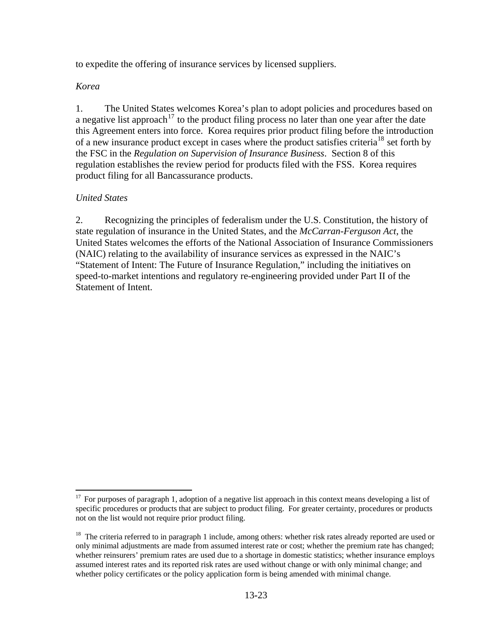to expedite the offering of insurance services by licensed suppliers.

#### *Korea*

1. The United States welcomes Korea's plan to adopt policies and procedures based on a negative list approach<sup>[17](#page-22-0)</sup> to the product filing process no later than one year after the date this Agreement enters into force. Korea requires prior product filing before the introduction of a new insurance product except in cases where the product satisfies criteria<sup>[18](#page-22-1)</sup> set forth by the FSC in the *Regulation on Supervision of Insurance Business*. Section 8 of this regulation establishes the review period for products filed with the FSS. Korea requires product filing for all Bancassurance products.

### *United States*

 $\overline{a}$ 

2. Recognizing the principles of federalism under the U.S. Constitution, the history of state regulation of insurance in the United States, and the *McCarran-Ferguson Act*, the United States welcomes the efforts of the National Association of Insurance Commissioners (NAIC) relating to the availability of insurance services as expressed in the NAIC's "Statement of Intent: The Future of Insurance Regulation," including the initiatives on speed-to-market intentions and regulatory re-engineering provided under Part II of the Statement of Intent.

<span id="page-22-0"></span> $17$  For purposes of paragraph 1, adoption of a negative list approach in this context means developing a list of specific procedures or products that are subject to product filing. For greater certainty, procedures or products not on the list would not require prior product filing.

<span id="page-22-1"></span> $18$  The criteria referred to in paragraph 1 include, among others: whether risk rates already reported are used or only minimal adjustments are made from assumed interest rate or cost; whether the premium rate has changed; whether reinsurers' premium rates are used due to a shortage in domestic statistics; whether insurance employs assumed interest rates and its reported risk rates are used without change or with only minimal change; and whether policy certificates or the policy application form is being amended with minimal change.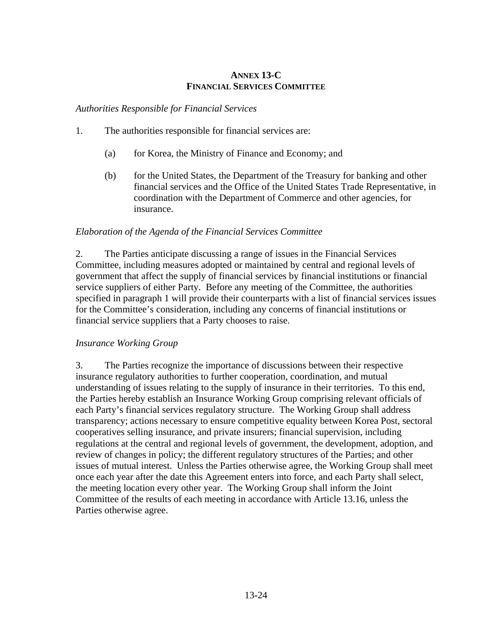### **ANNEX 13-C FINANCIAL SERVICES COMMITTEE**

*Authorities Responsible for Financial Services* 

- 1. The authorities responsible for financial services are:
	- (a) for Korea, the Ministry of Finance and Economy; and
	- (b) for the United States, the Department of the Treasury for banking and other financial services and the Office of the United States Trade Representative, in coordination with the Department of Commerce and other agencies, for insurance.

### *Elaboration of the Agenda of the Financial Services Committee*

2. The Parties anticipate discussing a range of issues in the Financial Services Committee, including measures adopted or maintained by central and regional levels of government that affect the supply of financial services by financial institutions or financial service suppliers of either Party. Before any meeting of the Committee, the authorities specified in paragraph 1 will provide their counterparts with a list of financial services issues for the Committee's consideration, including any concerns of financial institutions or financial service suppliers that a Party chooses to raise.

# *Insurance Working Group*

3. The Parties recognize the importance of discussions between their respective insurance regulatory authorities to further cooperation, coordination, and mutual understanding of issues relating to the supply of insurance in their territories. To this end, the Parties hereby establish an Insurance Working Group comprising relevant officials of each Party's financial services regulatory structure. The Working Group shall address transparency; actions necessary to ensure competitive equality between Korea Post, sectoral cooperatives selling insurance, and private insurers; financial supervision, including regulations at the central and regional levels of government, the development, adoption, and review of changes in policy; the different regulatory structures of the Parties; and other issues of mutual interest. Unless the Parties otherwise agree, the Working Group shall meet once each year after the date this Agreement enters into force, and each Party shall select, the meeting location every other year. The Working Group shall inform the Joint Committee of the results of each meeting in accordance with Article 13.16, unless the Parties otherwise agree.